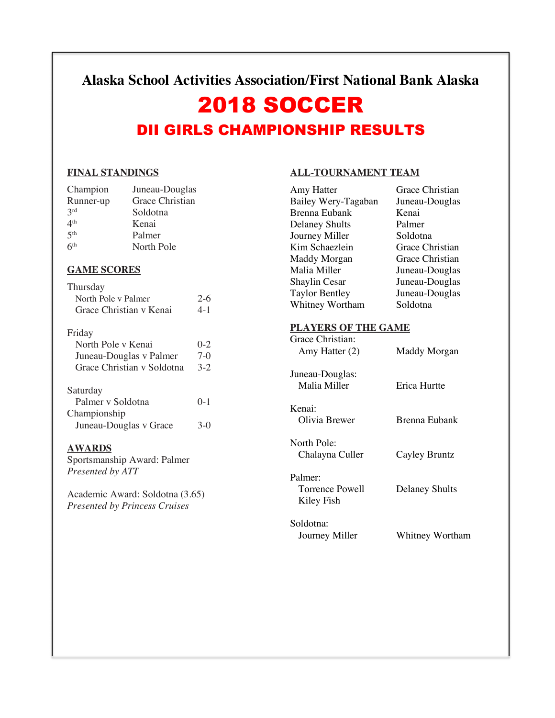# **Alaska School Activities Association/First National Bank Alaska**

# 2018 SOCCER DII GIRLS CHAMPIONSHIP RESULTS

#### **FINAL STANDINGS**

| Champion        | Juneau-Douglas  |
|-----------------|-----------------|
| Runner-up       | Grace Christian |
| 2rd             | Soldotna        |
| 4 <sup>th</sup> | Kenai           |
| 5 <sup>th</sup> | Palmer          |
| 6 <sup>th</sup> | North Pole      |

### **GAME SCORES**

| Thursday<br>North Pole y Palmer<br>Grace Christian y Kenai | $2-6$<br>$4 - 1$ |
|------------------------------------------------------------|------------------|
| Friday                                                     |                  |
| North Pole v Kenai                                         | $0 - 2$          |
| Juneau-Douglas v Palmer                                    | $7-0$            |
| Grace Christian y Soldotna                                 | $3-2$            |
| Saturday                                                   |                  |
| Palmer y Soldotna                                          | $0 - 1$          |
| Championship                                               |                  |
| Juneau-Douglas v Grace                                     |                  |

### **AWARDS**

Sportsmanship Award: Palmer *Presented by ATT*

Academic Award: Soldotna (3.65) *Presented by Princess Cruises*

# **ALL-TOURNAMENT TEAM**

| Amy Hatter                           | Grace Christian        |
|--------------------------------------|------------------------|
| Bailey Wery-Tagaban                  | Juneau-Douglas         |
| <b>Brenna Eubank</b>                 | Kenai                  |
| <b>Delaney Shults</b>                | Palmer                 |
| Journey Miller                       | Soldotna               |
| Kim Schaezlein                       | <b>Grace Christian</b> |
| Maddy Morgan                         | <b>Grace Christian</b> |
| Malia Miller                         | Juneau-Douglas         |
| <b>Shaylin Cesar</b>                 | Juneau-Douglas         |
| <b>Taylor Bentley</b>                | Juneau-Douglas         |
| Whitney Wortham                      | Soldotna               |
| <b>PLAYERS OF THE GAME</b>           |                        |
| Grace Christian:                     |                        |
| Amy Hatter (2)                       | Maddy Morgan           |
| Juneau-Douglas:                      |                        |
| Malia Miller                         | <b>Erica Hurtte</b>    |
| Kenai:                               |                        |
| Olivia Brewer                        | Brenna Eubank          |
| North Pole:                          |                        |
| Chalayna Culler                      | Cayley Bruntz          |
| Palmer:                              |                        |
| <b>Torrence Powell</b><br>Kiley Fish | <b>Delaney Shults</b>  |
| Soldotna:                            |                        |
| Journey Miller                       | Whitney Wortham        |